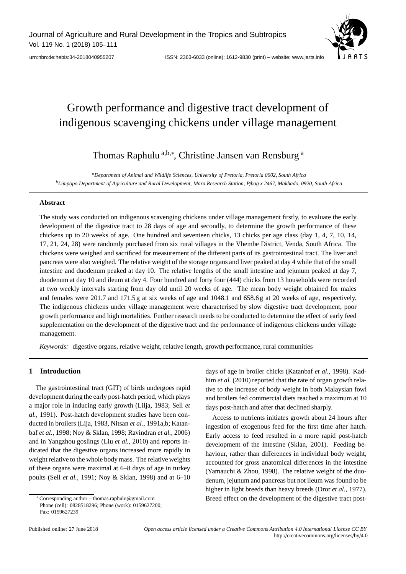Journal of Agriculture and Rural Development in the Tropics and Subtropics Vol. 119 No. 1 (2018) 105–111



[urn:nbn:de:hebis:34-2018040955207](http://nbn-resolving.de/urn:nbn:de:hebis:34-2018040955207) ISSN: 2363-6033 (online); 1612-9830 (print) – website: www.jarts.info

# Growth performance and digestive tract development of indigenous scavenging chickens under village management

Thomas Raphulu<sup>a,b,∗</sup>, Christine Jansen van Rensburg<sup>a</sup>

*aDepartment of Animal and Wildlife Sciences, University of Pretoria, Pretoria 0002, South Africa bLimpopo Department of Agriculture and Rural Development, Mara Research Station, P*/*bag x 2467, Makhado, 0920, South Africa*

## **Abstract**

The study was conducted on indigenous scavenging chickens under village management firstly, to evaluate the early development of the digestive tract to 28 days of age and secondly, to determine the growth performance of these chickens up to 20 weeks of age. One hundred and seventeen chicks, 13 chicks per age class (day 1, 4, 7, 10, 14, 17, 21, 24, 28) were randomly purchased from six rural villages in the Vhembe District, Venda, South Africa. The chickens were weighed and sacrificed for measurement of the different parts of its gastrointestinal tract. The liver and pancreas were also weighed. The relative weight of the storage organs and liver peaked at day 4 while that of the small intestine and duodenum peaked at day 10. The relative lengths of the small intestine and jejunum peaked at day 7, duodenum at day 10 and ileum at day 4. Four hundred and forty four (444) chicks from 13 households were recorded at two weekly intervals starting from day old until 20 weeks of age. The mean body weight obtained for males and females were 201.7 and 171.5 g at six weeks of age and 1048.1 and 658.6 g at 20 weeks of age, respectively. The indigenous chickens under village management were characterised by slow digestive tract development, poor growth performance and high mortalities. Further research needs to be conducted to determine the effect of early feed supplementation on the development of the digestive tract and the performance of indigenous chickens under village management.

*Keywords:* digestive organs, relative weight, relative length, growth performance, rural communities

# **1 Introduction**

The gastrointestinal tract (GIT) of birds undergoes rapid development during the early post-hatch period, which plays a major role in inducing early growth (Lilja, 1983; Sell *et al.*, 1991). Post-hatch development studies have been conducted in broilers (Lija, 1983, Nitsan *et al.*, 1991a,b; Katanbaf *et al.*, 1998; Noy & Sklan, 1998; Ravindran *et al.*, 2006) and in Yangzhou goslings (Liu *et al.*, 2010) and reports indicated that the digestive organs increased more rapidly in weight relative to the whole body mass. The relative weights of these organs were maximal at 6–8 days of age in turkey poults (Sell *et al.*, 1991; Noy & Sklan, 1998) and at 6–10 days of age in broiler chicks (Katanbaf *et al.*, 1998). Kadhim *et al.* (2010) reported that the rate of organ growth relative to the increase of body weight in both Malaysian fowl and broilers fed commercial diets reached a maximum at 10 days post-hatch and after that declined sharply.

Access to nutrients initiates growth about 24 hours after ingestion of exogenous feed for the first time after hatch. Early access to feed resulted in a more rapid post-hatch development of the intestine (Sklan, 2001). Feeding behaviour, rather than differences in individual body weight, accounted for gross anatomical differences in the intestine (Yamauchi & Zhou, 1998). The relative weight of the duodenum, jejunum and pancreas but not ileum was found to be higher in light breeds than heavy breeds (Dror *et al.*, 1977). Breed effect on the development of the digestive tract post-

<sup>∗</sup> Corresponding author – thomas.raphulu@gmail.com

Phone (cell): 0828518296; Phone (work): 0159627200; Fax: 0159627239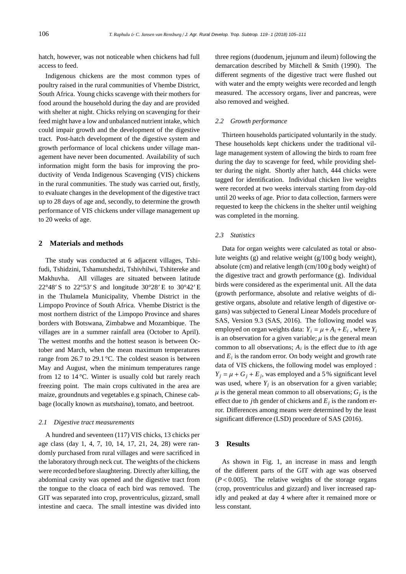hatch, however, was not noticeable when chickens had full access to feed.

Indigenous chickens are the most common types of poultry raised in the rural communities of Vhembe District, South Africa. Young chicks scavenge with their mothers for food around the household during the day and are provided with shelter at night. Chicks relying on scavenging for their feed might have a low and unbalanced nutrient intake, which could impair growth and the development of the digestive tract. Post-hatch development of the digestive system and growth performance of local chickens under village management have never been documented. Availability of such information might form the basis for improving the productivity of Venda Indigenous Scavenging (VIS) chickens in the rural communities. The study was carried out, firstly, to evaluate changes in the development of the digestive tract up to 28 days of age and, secondly, to determine the growth performance of VIS chickens under village management up to 20 weeks of age.

## **2 Materials and methods**

The study was conducted at 6 adjacent villages, Tshifudi, Tshidzini, Tshamutshedzi, Tshivhilwi, Tshitereke and Makhuvha. All villages are situated between latitude  $22^{\circ}48'$  S to  $22^{\circ}53'$  S and longitude  $30^{\circ}28'$  E to  $30^{\circ}42'$  E in the Thulamela Municipality, Vhembe District in the Limpopo Province of South Africa. Vhembe District is the most northern district of the Limpopo Province and shares borders with Botswana, Zimbabwe and Mozambique. The villages are in a summer rainfall area (October to April). The wettest months and the hottest season is between October and March, when the mean maximum temperatures range from 26.7 to 29.1 °C. The coldest season is between May and August, when the minimum temperatures range from 12 to 14 °C. Winter is usually cold but rarely reach freezing point. The main crops cultivated in the area are maize, groundnuts and vegetables e.g spinach, Chinese cabbage (locally known as *mutshaina*), tomato, and beetroot.

### *2.1 Digestive tract measurements*

A hundred and seventeen (117) VIS chicks, 13 chicks per age class (day 1, 4, 7, 10, 14, 17, 21, 24, 28) were randomly purchased from rural villages and were sacrificed in the laboratory through neck cut. The weights of the chickens were recorded before slaughtering. Directly after killing, the abdominal cavity was opened and the digestive tract from the tongue to the cloaca of each bird was removed. The GIT was separated into crop, proventriculus, gizzard, small intestine and caeca. The small intestine was divided into three regions (duodenum, jejunum and ileum) following the demarcation described by Mitchell & Smith (1990). The different segments of the digestive tract were flushed out with water and the empty weights were recorded and length measured. The accessory organs, liver and pancreas, were also removed and weighed.

#### *2.2 Growth performance*

Thirteen households participated voluntarily in the study. These households kept chickens under the traditional village management system of allowing the birds to roam free during the day to scavenge for feed, while providing shelter during the night. Shortly after hatch, 444 chicks were tagged for identification. Individual chicken live weights were recorded at two weeks intervals starting from day-old until 20 weeks of age. Prior to data collection, farmers were requested to keep the chickens in the shelter until weighing was completed in the morning.

#### *2.3 Statistics*

Data for organ weights were calculated as total or absolute weights (g) and relative weight  $(g/100 g$  body weight), absolute (cm) and relative length (cm/100 g body weight) of the digestive tract and growth performance (g). Individual birds were considered as the experimental unit. All the data (growth performance, absolute and relative weights of digestive organs, absolute and relative length of digestive organs) was subjected to General Linear Models procedure of SAS, Version 9.3 (SAS, 2016). The following model was employed on organ weights data:  $Y_i = \mu + A_i + E_i$ , where  $Y_i$ is an observation for a given variable;  $\mu$  is the general mean common to all observations; *Ai* is the effect due to *i*th age and  $E_i$  is the random error. On body weight and growth rate data of VIS chickens, the following model was employed :  $Y_i = \mu + G_i + E_i$ , was employed and a 5% significant level was used, where  $Y_i$  is an observation for a given variable;  $\mu$  is the general mean common to all observations;  $G_i$  is the effect due to *j*th gender of chickens and  $E_i$  is the random error. Differences among means were determined by the least significant difference (LSD) procedure of SAS (2016).

## **3 Results**

As shown in Fig. 1, an increase in mass and length of the different parts of the GIT with age was observed  $(P<0.005)$ . The relative weights of the storage organs (crop, proventriculus and gizzard) and liver increased rapidly and peaked at day 4 where after it remained more or less constant.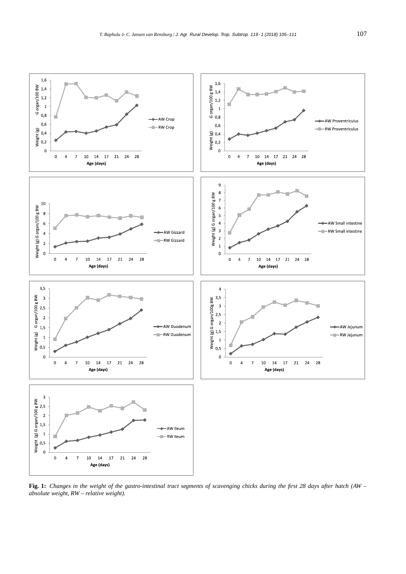

**Fig. 1:** *Changes in the weight of the gastro-intestinal tract segments of scavenging chicks during the first 28 days after hatch (AW – absolute weight, RW – relative weight).*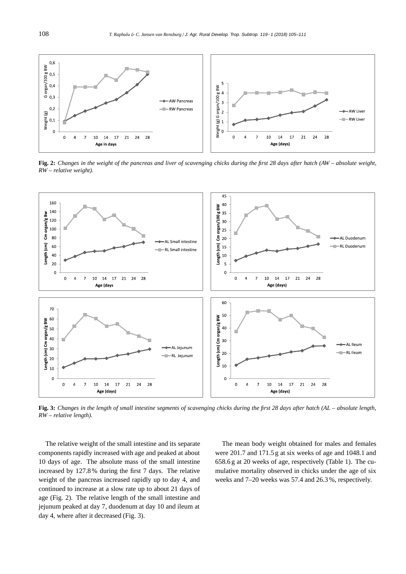

**Fig. 2:** *Changes in the weight of the pancreas and liver of scavenging chicks during the first 28 days after hatch (AW – absolute weight, RW – relative weight).*



**Fig. 3:** *Changes in the length of small intestine segments of scavenging chicks during the first 28 days after hatch (AL – absolute length, RW – relative length).*

The relative weight of the small intestine and its separate components rapidly increased with age and peaked at about 10 days of age. The absolute mass of the small intestine increased by 127.8% during the first 7 days. The relative weight of the pancreas increased rapidly up to day 4, and continued to increase at a slow rate up to about 21 days of age (Fig. 2). The relative length of the small intestine and jejunum peaked at day 7, duodenum at day 10 and ileum at day 4, where after it decreased (Fig. 3).

The mean body weight obtained for males and females were 201.7 and 171.5 g at six weeks of age and 1048.1 and 658.6 g at 20 weeks of age, respectively (Table 1). The cumulative mortality observed in chicks under the age of six weeks and 7–20 weeks was 57.4 and 26.3 %, respectively.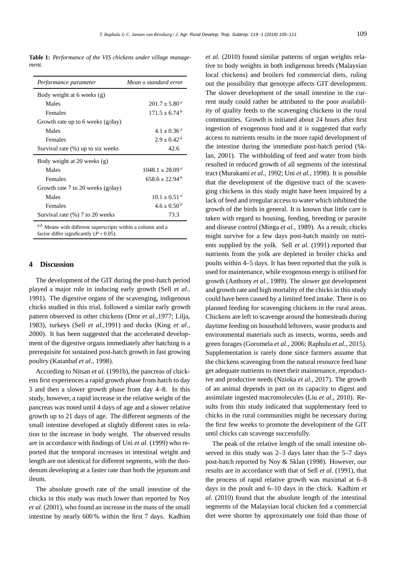**Table 1:** *Performance of the VIS chickens under village management.*

| Performance parameter               | $Mean \pm standard$ error  |
|-------------------------------------|----------------------------|
| Body weight at 6 weeks (g)          |                            |
| Males                               | $201.7 \pm 5.80^{\circ}$   |
| Females                             | $171.5 \pm 6.74^b$         |
| Growth rate up to 6 weeks $(g/day)$ |                            |
| Males                               | $4.1 \pm 0.36^{\circ}$     |
| Females                             | $2.9 \pm 0.42^b$           |
| Survival rate (%) up to six weeks   | 42.6                       |
| Body weight at 20 weeks (g)         |                            |
| Males                               | $1048.1 \pm 28.09^{\circ}$ |
| Females                             | $658.6 \pm 22.94^b$        |
| Growth rate 7 to 20 weeks $(g/day)$ |                            |
| Males                               | $10.1 \pm 0.51^{\circ}$    |
| Females                             | $4.6 \pm 0.50^{b}$         |
| Survival rate (%) 7 to 20 weeks     | 73.3                       |

Means with different superscripts within a column and a factor differ significantly  $(P < 0.05)$ .

## **4 Discussion**

The development of the GIT during the post-hatch period played a major role in inducing early growth (Sell *et al.*, 1991). The digestive organs of the scavenging, indigenous chicks studied in this trial, followed a similar early growth pattern observed in other chickens (Dror *et al.*,1977; Lilja, 1983), turkeys (Sell *et al.*,1991) and ducks (King *et al.*, 2000). It has been suggested that the accelerated development of the digestive organs immediately after hatching is a prerequisite for sustained post-hatch growth in fast growing poultry (Katanbaf *et al.*, 1998).

According to Nitsan *et al.* (1991b), the pancreas of chickens first experiences a rapid growth phase from hatch to day 3 and then a slower growth phase from day 4–8. In this study, however, a rapid increase in the relative weight of the pancreas was noted until 4 days of age and a slower relative growth up to 21 days of age. The different segments of the small intestine developed at slightly different rates in relation to the increase in body weight. The observed results are in accordance with findings of Uni *et al.* (1999) who reported that the temporal increases in intestinal weight and length are not identical for different segments, with the duodenum developing at a faster rate than both the jejunum and ileum.

The absolute growth rate of the small intestine of the chicks in this study was much lower than reported by Noy *et al.* (2001), who found an increase in the mass of the small intestine by nearly 600 % within the first 7 days. Kadhim *et al.* (2010) found similar patterns of organ weights relative to body weights in both indigenous breeds (Malaysian local chickens) and broilers fed commercial diets, ruling out the possibility that genotype affects GIT development. The slower development of the small intestine in the current study could rather be attributed to the poor availability of quality feeds to the scavenging chickens in the rural communities. Growth is initiated about 24 hours after first ingestion of exogenous food and it is suggested that early access to nutrients results in the more rapid development of the intestine during the immediate post-hatch period (Sklan, 2001). The withholding of feed and water from birds resulted in reduced growth of all segments of the intestinal tract (Murakami *et al.*, 1992; Uni *et al.*, 1998). It is possible that the development of the digestive tract of the scavenging chickens in this study might have been impaired by a lack of feed and irregular access to water which inhibited the growth of the birds in general. It is known that little care is taken with regard to housing, feeding, breeding or parasite and disease control (Minga *et al.*, 1989). As a result, chicks might survive for a few days post-hatch mainly on nutrients supplied by the yolk. Sell *et al.* (1991) reported that nutrients from the yolk are depleted in broiler chicks and poults within 4–5 days. It has been reported that the yolk is used for maintenance, while exogenous energy is utilised for growth (Anthony *et al.*, 1989). The slower gut development and growth rate and high mortality of the chicks in this study could have been caused by a limited feed intake. There is no planned feeding for scavenging chickens in the rural areas. Chickens are left to scavenge around the homesteads during daytime feeding on household leftovers, waste products and environmental materials such as insects, worms, seeds and green forages (Goromela *et al.*, 2006; Raphulu *et al.*, 2015). Supplementation is rarely done since farmers assume that the chickens scavenging from the natural resource feed base get adequate nutrients to meet their maintenance, reproductive and productive needs (Nzioka *et al.*, 2017). The growth of an animal depends in part on its capacity to digest and assimilate ingested macromolecules (Liu *et al.*, 2010). Results from this study indicated that supplementary feed to chicks in the rural communities might be necessary during the first few weeks to promote the development of the GIT until chicks can scavenge successfully.

The peak of the relative length of the small intestine observed in this study was 2–3 days later than the 5–7 days post-hatch reported by Noy & Sklan (1998). However, our results are in accordance with that of Sell *et al.* (1991), that the process of rapid relative growth was maximal at 6–8 days in the poult and 6–10 days in the chick. Kadhim *et al.* (2010) found that the absolute length of the intestinal segments of the Malaysian local chicken fed a commercial diet were shorter by approximately one fold than those of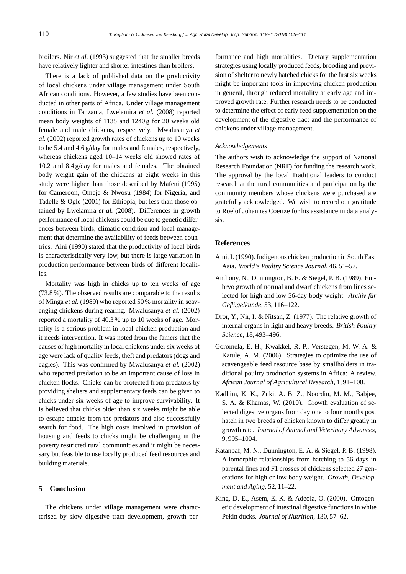broilers. Nir *et al.* (1993) suggested that the smaller breeds have relatively lighter and shorter intestines than broilers.

There is a lack of published data on the productivity of local chickens under village management under South African conditions. However, a few studies have been conducted in other parts of Africa. Under village management conditions in Tanzania, Lwelamira *et al.* (2008) reported mean body weights of 1135 and 1240 g for 20 weeks old female and male chickens, respectively. Mwalusanya *et al.* (2002) reported growth rates of chickens up to 10 weeks to be 5.4 and 4.6 g/day for males and females, respectively, whereas chickens aged 10–14 weeks old showed rates of 10.2 and 8.4 g/day for males and females. The obtained body weight gain of the chickens at eight weeks in this study were higher than those described by Mafeni (1995) for Cameroon, Omeje & Nwosu (1984) for Nigeria, and Tadelle & Ogle (2001) for Ethiopia, but less than those obtained by Lwelamira *et al.* (2008). Differences in growth performance of local chickens could be due to genetic differences between birds, climatic condition and local management that determine the availability of feeds between countries. Aini (1990) stated that the productivity of local birds is characteristically very low, but there is large variation in production performance between birds of different localities.

Mortality was high in chicks up to ten weeks of age (73.8 %). The observed results are comparable to the results of Minga *et al.* (1989) who reported 50 % mortality in scavenging chickens during rearing. Mwalusanya *et al.* (2002) reported a mortality of 40.3 % up to 10 weeks of age. Mortality is a serious problem in local chicken production and it needs intervention. It was noted from the famers that the causes of high mortality in local chickens under six weeks of age were lack of quality feeds, theft and predators (dogs and eagles). This was confirmed by Mwalusanya *et al.* (2002) who reported predation to be an important cause of loss in chicken flocks. Chicks can be protected from predators by providing shelters and supplementary feeds can be given to chicks under six weeks of age to improve survivability. It is believed that chicks older than six weeks might be able to escape attacks from the predators and also successfully search for food. The high costs involved in provision of housing and feeds to chicks might be challenging in the poverty restricted rural communities and it might be necessary but feasible to use locally produced feed resources and building materials.

## **5 Conclusion**

The chickens under village management were characterised by slow digestive tract development, growth per-

formance and high mortalities. Dietary supplementation strategies using locally produced feeds, brooding and provision of shelter to newly hatched chicks for the first six weeks might be important tools in improving chicken production in general, through reduced mortality at early age and improved growth rate. Further research needs to be conducted to determine the effect of early feed supplementation on the development of the digestive tract and the performance of chickens under village management.

#### *Acknowledgements*

The authors wish to acknowledge the support of National Research Foundation (NRF) for funding the research work. The approval by the local Traditional leaders to conduct research at the rural communities and participation by the community members whose chickens were purchased are gratefully acknowledged. We wish to record our gratitude to Roelof Johannes Coertze for his assistance in data analysis.

## **References**

- Aini, I. (1990). Indigenous chicken production in South East Asia. *World's Poultry Science Journal*, 46, 51–57.
- Anthony, N., Dunnington, B. E. & Siegel, P. B. (1989). Embryo growth of normal and dwarf chickens from lines selected for high and low 56-day body weight. *Archiv für Geflügelkunde*, 53, 116–122.
- Dror, Y., Nir, I. & Nitsan, Z. (1977). The relative growth of internal organs in light and heavy breeds. *British Poultry Science*, 18, 493–496.
- Goromela, E. H., Kwakkel, R. P., Verstegen, M. W. A. & Katule, A. M. (2006). Strategies to optimize the use of scavengeable feed resource base by smallholders in traditional poultry production systems in Africa: A review. *African Journal of Agricultural Research*, 1, 91–100.
- Kadhim, K. K., Zuki, A. B. Z., Noordin, M. M., Babjee, S. A. & Khamas, W. (2010). Growth evaluation of selected digestive organs from day one to four months post hatch in two breeds of chicken known to differ greatly in growth rate. *Journal of Animal and Veterinary Advances*, 9, 995–1004.
- Katanbaf, M. N., Dunnington, E. A. & Siegel, P. B. (1998). Allomorphic relationships from hatching to 56 days in parental lines and F1 crosses of chickens selected 27 generations for high or low body weight. *Growth, Development and Aging*, 52, 11–22.
- King, D. E., Asem, E. K. & Adeola, O. (2000). Ontogenetic development of intestinal digestive functions in white Pekin ducks. *Journal of Nutrition*, 130, 57–62.